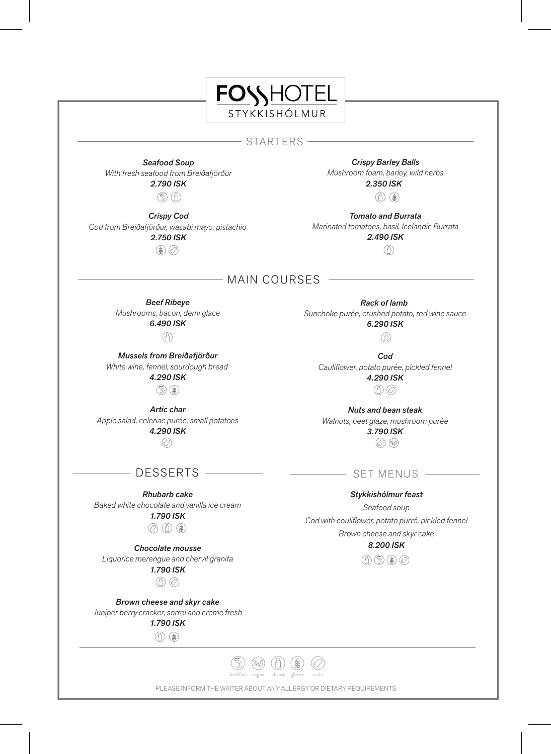